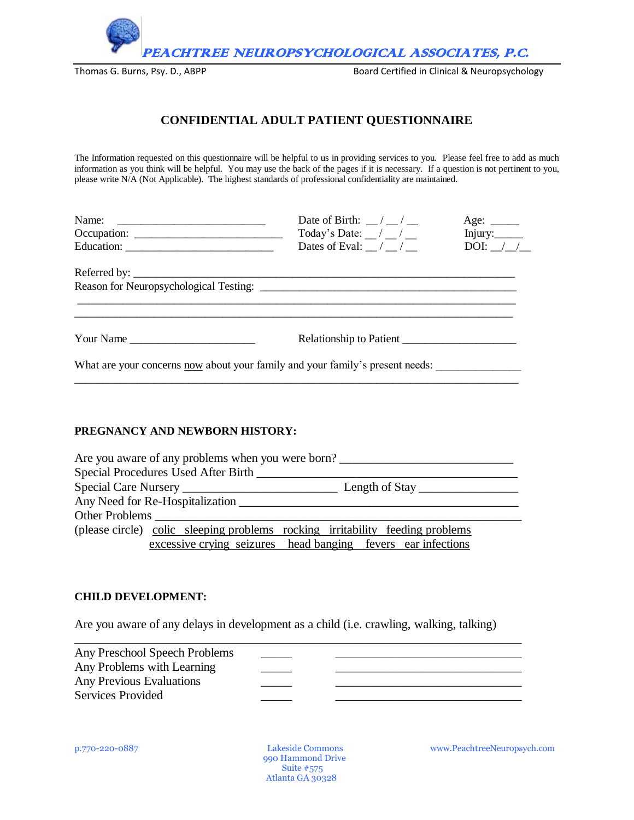

Thomas G. Burns, Psy. D., ABPP Board Certified in Clinical & Neuropsychology

## **CONFIDENTIAL ADULT PATIENT QUESTIONNAIRE**

The Information requested on this questionnaire will be helpful to us in providing services to you. Please feel free to add as much information as you think will be helpful. You may use the back of the pages if it is necessary. If a question is not pertinent to you, please write N/A (Not Applicable). The highest standards of professional confidentiality are maintained.

|                                                                               | Date of Birth: $\frac{\ }{\ }$ / $\frac{\ }{\ }$ | Age: $\_\_\_\_\_\_\_\_\_\_\_\_\_\_\_\_\_\_\_\_\_\_\_\_\_\_\_\_\_\_\_\_\_\_$ |  |  |  |  |
|-------------------------------------------------------------------------------|--------------------------------------------------|-----------------------------------------------------------------------------|--|--|--|--|
|                                                                               | Today's Date: / /                                | Injury:______                                                               |  |  |  |  |
|                                                                               | Dates of Eval: $\angle$ / $\angle$               | DOI: $\angle$                                                               |  |  |  |  |
|                                                                               |                                                  |                                                                             |  |  |  |  |
|                                                                               |                                                  |                                                                             |  |  |  |  |
|                                                                               |                                                  |                                                                             |  |  |  |  |
| Your Name                                                                     | Relationship to Patient                          |                                                                             |  |  |  |  |
| What are your concerns now about your family and your family's present needs: |                                                  |                                                                             |  |  |  |  |

#### **PREGNANCY AND NEWBORN HISTORY:**

| Are you aware of any problems when you were born? |  |                                                                               |  |                                                     |  |
|---------------------------------------------------|--|-------------------------------------------------------------------------------|--|-----------------------------------------------------|--|
|                                                   |  | Special Procedures Used After Birth                                           |  |                                                     |  |
|                                                   |  |                                                                               |  | Length of Stay $\_\_\_\_\_\_\_\_\_\_\_\_\_\_\_\_\_$ |  |
|                                                   |  | Any Need for Re-Hospitalization                                               |  |                                                     |  |
| <b>Other Problems</b>                             |  |                                                                               |  |                                                     |  |
|                                                   |  | (please circle) colic sleeping problems rocking irritability feeding problems |  |                                                     |  |
|                                                   |  | excessive crying seizures head banging fevers ear infections                  |  |                                                     |  |

#### **CHILD DEVELOPMENT:**

Are you aware of any delays in development as a child (i.e. crawling, walking, talking)

| Any Preschool Speech Problems   |  |
|---------------------------------|--|
| Any Problems with Learning      |  |
| <b>Any Previous Evaluations</b> |  |
| Services Provided               |  |
|                                 |  |

 990 Hammond Drive Suite #575 Atlanta GA 30328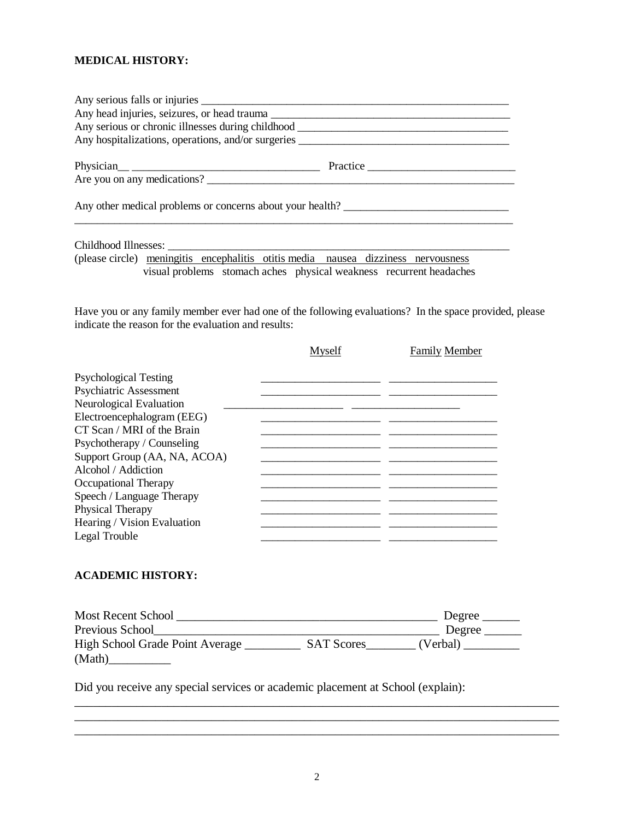#### **MEDICAL HISTORY:**

|                                                           |                                                                                   | Any hospitalizations, operations, and/or surgeries ______________________________ |
|-----------------------------------------------------------|-----------------------------------------------------------------------------------|-----------------------------------------------------------------------------------|
|                                                           |                                                                                   | Practice                                                                          |
| Any other medical problems or concerns about your health? |                                                                                   |                                                                                   |
|                                                           |                                                                                   |                                                                                   |
|                                                           | (please circle) meningitis encephalitis otitis media nausea dizziness nervousness | visual problems stomach aches physical weakness recurrent headaches               |

Have you or any family member ever had one of the following evaluations? In the space provided, please indicate the reason for the evaluation and results:

|                              | Myself | <b>Family Member</b> |
|------------------------------|--------|----------------------|
| <b>Psychological Testing</b> |        |                      |
| Psychiatric Assessment       |        |                      |
| Neurological Evaluation      |        |                      |
| Electroencephalogram (EEG)   |        |                      |
| CT Scan / MRI of the Brain   |        |                      |
| Psychotherapy / Counseling   |        |                      |
| Support Group (AA, NA, ACOA) |        |                      |
| Alcohol / Addiction          |        |                      |
| Occupational Therapy         |        |                      |
| Speech / Language Therapy    |        |                      |
| Physical Therapy             |        |                      |
| Hearing / Vision Evaluation  |        |                      |
| Legal Trouble                |        |                      |
|                              |        |                      |

## **ACADEMIC HISTORY:**

| <b>Most Recent School</b>       |                   | Degree   |
|---------------------------------|-------------------|----------|
| Previous School                 |                   | Degree   |
| High School Grade Point Average | <b>SAT Scores</b> | (Verbal) |
| (Math)                          |                   |          |

Did you receive any special services or academic placement at School (explain):

\_\_\_\_\_\_\_\_\_\_\_\_\_\_\_\_\_\_\_\_\_\_\_\_\_\_\_\_\_\_\_\_\_\_\_\_\_\_\_\_\_\_\_\_\_\_\_\_\_\_\_\_\_\_\_\_\_\_\_\_\_\_\_\_\_\_\_\_\_\_\_\_\_\_\_\_\_\_ \_\_\_\_\_\_\_\_\_\_\_\_\_\_\_\_\_\_\_\_\_\_\_\_\_\_\_\_\_\_\_\_\_\_\_\_\_\_\_\_\_\_\_\_\_\_\_\_\_\_\_\_\_\_\_\_\_\_\_\_\_\_\_\_\_\_\_\_\_\_\_\_\_\_\_\_\_\_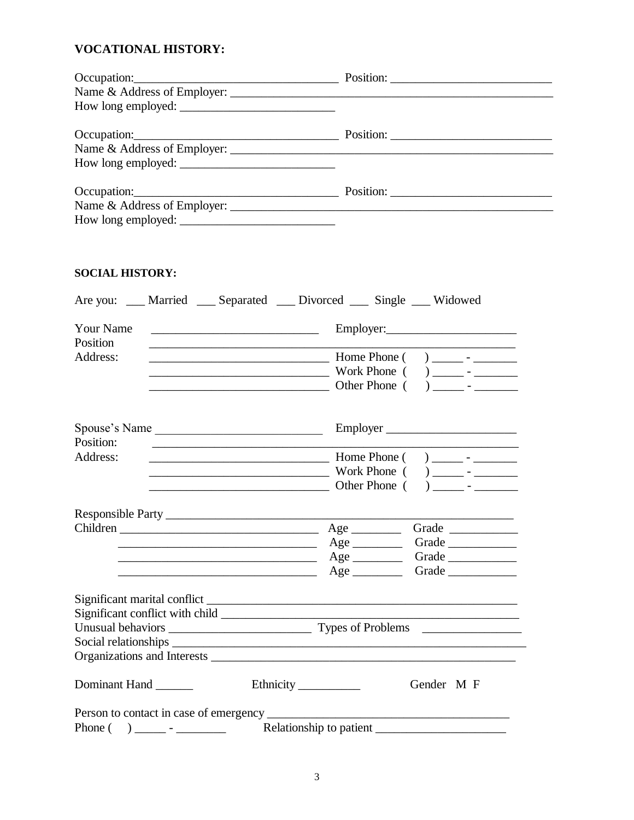# **VOCATIONAL HISTORY:**

| Occupation: Decupation: Decupation: Decupation: Decupation: Decupation: Decupation: Decupation: Decupation: Decupation: Decupation: Decupation: Decupation: Decupation: Decupation: Decupation: Decupation: Decupation: Decupa |           |
|--------------------------------------------------------------------------------------------------------------------------------------------------------------------------------------------------------------------------------|-----------|
|                                                                                                                                                                                                                                |           |
|                                                                                                                                                                                                                                |           |
| Occupation: Decupation: Decupation: Decupation: Decupation: Decupation: Decupation: Decupation: Decupation: Decupation: Decupation: Decupation: Decupation: Decupation: Decupation: Decupation: Decupation: Decupation: Decupa |           |
|                                                                                                                                                                                                                                |           |
|                                                                                                                                                                                                                                |           |
| Occupation: Decupation: Decupation: Decupation: Decupation: Decupation: Decupation: Decupation: Decupation: Decupation: Decupation: Decupation: Decupation: Decupation: Decupation: Decupation: Decupation: Decupation: Decupa |           |
|                                                                                                                                                                                                                                |           |
|                                                                                                                                                                                                                                |           |
|                                                                                                                                                                                                                                |           |
|                                                                                                                                                                                                                                |           |
| <b>SOCIAL HISTORY:</b>                                                                                                                                                                                                         |           |
| Are you: ___ Married ___ Separated ___ Divorced ___ Single ___ Widowed                                                                                                                                                         |           |
| Your Name                                                                                                                                                                                                                      | Employer: |

| Position |                                           |
|----------|-------------------------------------------|
| Address: | Home Phone (<br>$\overline{\phantom{0}}$  |
|          | Work Phone (<br>$\overline{\phantom{0}}$  |
|          | Other Phone (<br>$\overline{\phantom{0}}$ |

| Spouse's Name<br>Position:                                                                                                                                                                                                                                                                                                                                                                                                                       |                                | Employer                                                                                                                                                                                                                            |
|--------------------------------------------------------------------------------------------------------------------------------------------------------------------------------------------------------------------------------------------------------------------------------------------------------------------------------------------------------------------------------------------------------------------------------------------------|--------------------------------|-------------------------------------------------------------------------------------------------------------------------------------------------------------------------------------------------------------------------------------|
| Address:<br><u> 1989 - Johann Barnett, fransk politiker (d. 1989)</u>                                                                                                                                                                                                                                                                                                                                                                            | Other Phone (                  | <u>Example 2001 Work Phone</u> (and The Company of The Company of The Company of The Company of The Company of The Company of The Company of The Company of The Company of The Company of The Company of The Company of The Company |
|                                                                                                                                                                                                                                                                                                                                                                                                                                                  |                                |                                                                                                                                                                                                                                     |
| <u> 1989 - Jan Sarajević, politika i postala i postala i postala i postala i postala i postala i postala i post</u><br><u> 1989 - Jan James James Barbara, meny kaominina ara-</u>                                                                                                                                                                                                                                                               | $Age$ <sub>_____________</sub> | Grade                                                                                                                                                                                                                               |
|                                                                                                                                                                                                                                                                                                                                                                                                                                                  |                                |                                                                                                                                                                                                                                     |
|                                                                                                                                                                                                                                                                                                                                                                                                                                                  |                                |                                                                                                                                                                                                                                     |
|                                                                                                                                                                                                                                                                                                                                                                                                                                                  |                                |                                                                                                                                                                                                                                     |
| Dominant Hand                                                                                                                                                                                                                                                                                                                                                                                                                                    |                                | Gender M F                                                                                                                                                                                                                          |
|                                                                                                                                                                                                                                                                                                                                                                                                                                                  |                                |                                                                                                                                                                                                                                     |
| $\left( \begin{array}{c} \frac{1}{2} \\ \frac{1}{2} \\ \frac{1}{2} \\ \frac{1}{2} \\ \frac{1}{2} \\ \frac{1}{2} \\ \frac{1}{2} \\ \frac{1}{2} \\ \frac{1}{2} \\ \frac{1}{2} \\ \frac{1}{2} \\ \frac{1}{2} \\ \frac{1}{2} \\ \frac{1}{2} \\ \frac{1}{2} \\ \frac{1}{2} \\ \frac{1}{2} \\ \frac{1}{2} \\ \frac{1}{2} \\ \frac{1}{2} \\ \frac{1}{2} \\ \frac{1}{2} \\ \frac{1}{2} \\ \frac{1}{2} \\ \frac{1}{2} \\ \frac{1}{2} \\ \frac$<br>Phone ( |                                |                                                                                                                                                                                                                                     |